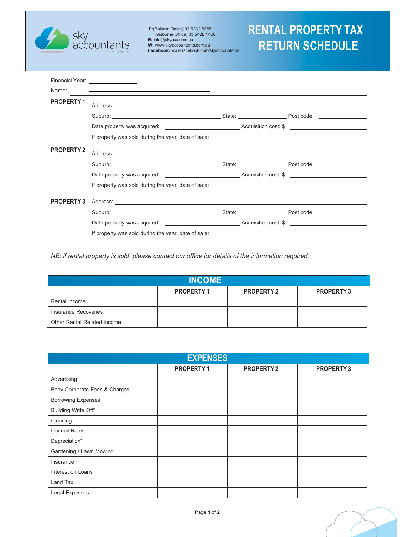

**P:**(Ballarat Office) 03 5332 8855 (Gisborne Office) 03 5428 1400 **E:** info@skyacc.com.au **W:** www.skyaccountants.com.au **Facebook:** www.facebook.com/skyaccountants

# **RENTAL PROPERTY TAX RETURN SCHEDULE**

|                   | Financial Year: <u>________________</u>                                                                                                                                                                                             |  |  |
|-------------------|-------------------------------------------------------------------------------------------------------------------------------------------------------------------------------------------------------------------------------------|--|--|
| Name:             | <u> 1980 - John Stone, Amerikaansk politiker (* 1908)</u>                                                                                                                                                                           |  |  |
| <b>PROPERTY1</b>  |                                                                                                                                                                                                                                     |  |  |
|                   |                                                                                                                                                                                                                                     |  |  |
|                   | Date property was acquired: _____________________________Acquisition cost: \$ _______________________                                                                                                                               |  |  |
|                   |                                                                                                                                                                                                                                     |  |  |
| <b>PROPERTY 2</b> | Address: <u>Address:</u> Address: Address: Address: Address: Address: Address: Address: Address: Address: Address: Address: Address: Address: Address: Address: Address: Address: Address: Address: Address: Address: Address: Addr |  |  |
|                   | Suburb: State: Post code: State: Post code:                                                                                                                                                                                         |  |  |
|                   | Date property was acquired: example and a series of Acquisition cost: \$                                                                                                                                                            |  |  |
|                   |                                                                                                                                                                                                                                     |  |  |
| <b>PROPERTY 3</b> |                                                                                                                                                                                                                                     |  |  |
|                   | Suburb: Suburb: State: State: State: Post code: Suburb: Suburb: State: State: State: State: State: State: State: State: State: State: State: State: State: State: State: State: State: State: State: State: State: State: Stat      |  |  |
|                   | Date property was acquired: The Contract Contract Acquisition cost: \$                                                                                                                                                              |  |  |
|                   | If property was sold during the year, date of sale:                                                                                                                                                                                 |  |  |

*NB: if rental property is sold, please contact our office for details of the information required.*

| <b>INCOME</b>               |                  |                   |                  |
|-----------------------------|------------------|-------------------|------------------|
|                             | <b>PROPERTY1</b> | <b>PROPERTY 2</b> | <b>PROPERTY3</b> |
| Rental Income               |                  |                   |                  |
| Insurance Recoveries        |                  |                   |                  |
| Other Rental Related Income |                  |                   |                  |

| <b>EXPENSES</b>               |           |                   |                  |
|-------------------------------|-----------|-------------------|------------------|
|                               | PROPERTY1 | <b>PROPERTY 2</b> | <b>PROPERTY3</b> |
| Advertising                   |           |                   |                  |
| Body Corporate Fees & Charges |           |                   |                  |
| <b>Borrowing Expenses</b>     |           |                   |                  |
| Building Write Off*           |           |                   |                  |
| Cleaning                      |           |                   |                  |
| <b>Council Rates</b>          |           |                   |                  |
| Depreciation*                 |           |                   |                  |
| Gardening / Lawn Mowing       |           |                   |                  |
| Insurance                     |           |                   |                  |
| Interest on Loans             |           |                   |                  |
| Land Tax                      |           |                   |                  |
| Legal Expenses                |           |                   |                  |